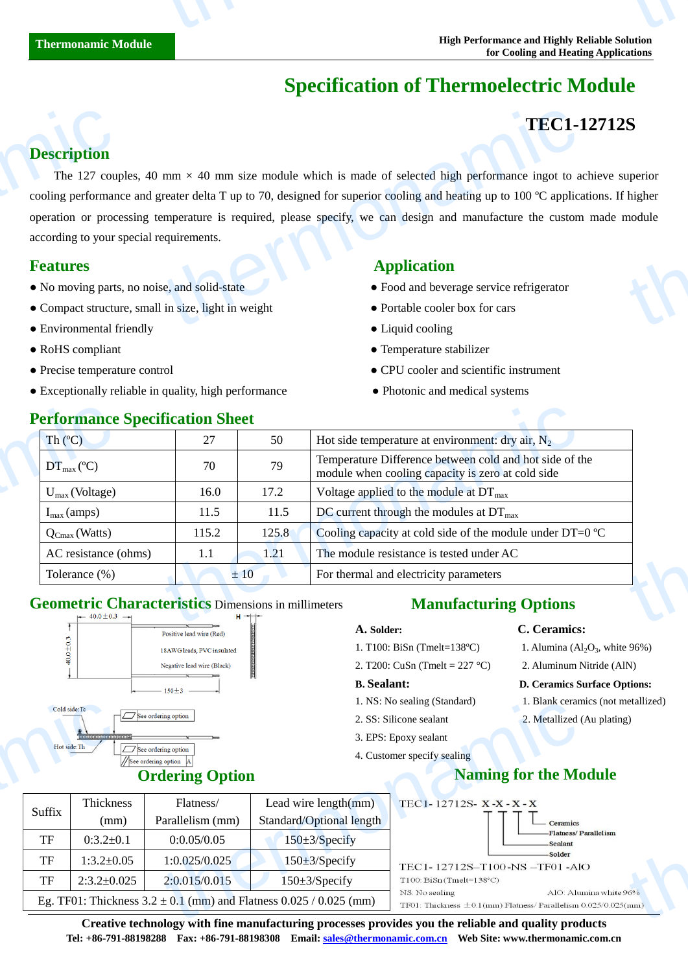# **Specification of Thermoelectric Module**

# **TEC1-12712S**

#### **Description**

The 127 couples, 40 mm  $\times$  40 mm size module which is made of selected high performance ingot to achieve superior cooling performance and greater delta T up to 70, designed for superior cooling and heating up to 100  $\degree$  C applications. If higher operation or processing temperature is required, please specify, we can design and manufacture the custom made module according to your special requirements. **Description**<br>The 127 coupled and the cooling performance of the set according to your set according to your set of the No moving parts of the Compact structure of Fundamental for  $\overline{B}$ TEC1-1<br>
mm × 40 mm size module which is made of selected high performance ingot to a<br>
reater delta T up to 70, designed for superior cooling and heating up to 100  $\degree$  applicar<br>
emperature is required, please specify, we S<br>
uperior<br>
module

- No moving parts, no noise, and solid-state  **Procedure 1** Food and beverage service refrigerator
- Compact structure, small in size, light in weight Portable cooler box for cars
- Environmental friendly Liquid cooling
- 
- 
- Exceptionally reliable in quality, high performance • • Photonic and medical systems

### **Features** Application

- 
- 
- 
- RoHS compliant  $\bullet$  Temperature stabilizer
- Precise temperature control CPU cooler and scientific instrument
	-

| Th(C)                   | 27    | 50    | Hot side temperature at environment: dry air, $N_2$                                                          |
|-------------------------|-------|-------|--------------------------------------------------------------------------------------------------------------|
| $DT_{max}(\mathbb{C})$  | 70    | 79    | Temperature Difference between cold and hot side of the<br>module when cooling capacity is zero at cold side |
| $U_{max}$ (Voltage)     | 16.0  | 17.2  | Voltage applied to the module at $DT_{\text{max}}$                                                           |
| $I_{\text{max}}$ (amps) | 11.5  | 11.5  | DC current through the modules at $DT_{\text{max}}$                                                          |
| $Q_{Cmax}$ (Watts)      | 115.2 | 125.8 | Cooling capacity at cold side of the module under DT=0 $\mathbb{C}$                                          |
| AC resistance (ohms)    | 1.1   | 1.21  | The module resistance is tested under AC                                                                     |
| Tolerance (%)           |       | ±10   | For thermal and electricity parameters                                                                       |

### **Geometric Characteristics** Dimensions in millimeters



### **Ordering Option**

# **Manufacturing Options**

- **A. Solder: C. Ceramics:**
- 1. T100: BiSn (Tmelt=138 $C$ )
- 2. T200: CuSn (Tmelt = 227 °C) 2. Aluminum Nitride (AlN)

#### **B. Sealant: D. Ceramics Surface Options:**

- 1. NS: No sealing (Standard) 1. Blank ceramics (not metallized)
- 2. SS: Silicone sealant 2. Metallized (Au plating)
- 3. EPS: Epoxy sealant
- 4. Customer specify sealing

# **Naming for the Module**

1. Alumina  $\left( \text{Al}_2\text{O}_3 \right)$ , white 96%)

|              |                   |                                                                          |                                                                                                                                           | 1. NS: No sealing (Standard)                                                                 | I. Blank ceramics (not metallized) |  |
|--------------|-------------------|--------------------------------------------------------------------------|-------------------------------------------------------------------------------------------------------------------------------------------|----------------------------------------------------------------------------------------------|------------------------------------|--|
| Cold side:Tc |                   | $\Box$ See ordering option                                               |                                                                                                                                           | 2. SS: Silicone sealant                                                                      | 2. Metallized (Au plating)         |  |
|              | 1111111111111111  |                                                                          |                                                                                                                                           | 3. EPS: Epoxy sealant                                                                        |                                    |  |
| Hot side: Th |                   | $\sqrt{\sqrt{S}}$ See ordering option<br>/See ordering option            | 4. Customer specify sealing                                                                                                               |                                                                                              |                                    |  |
|              |                   | <b>Ordering Option</b>                                                   |                                                                                                                                           | <b>Naming for the Module</b>                                                                 |                                    |  |
| Suffix       | Thickness         | Flatness/                                                                | Lead wire $length(mm)$                                                                                                                    | TEC1-12712S-X-X-X-X                                                                          |                                    |  |
|              | (mm)              | Parallelism (mm)                                                         | Standard/Optional length                                                                                                                  |                                                                                              | — Ceramics                         |  |
| TF           | $0:3.2 \pm 0.1$   | 0:0.05/0.05                                                              | $150 \pm 3$ /Specify                                                                                                                      |                                                                                              | -Flatness/Parallelism<br>Sealant   |  |
| TF           | $1:3.2 \pm 0.05$  | 1:0.025/0.025                                                            | $150 \pm 3$ /Specify                                                                                                                      | TEC1-12712S-T100-NS-TF01-AlO                                                                 | -Solder                            |  |
| TF           | $2:3.2 \pm 0.025$ | 2:0.015/0.015                                                            | $150 \pm 3$ /Specify                                                                                                                      | $T100: BiSn$ (Tmelt=138 $°C$ )                                                               |                                    |  |
|              |                   | Eg. TF01: Thickness $3.2 \pm 0.1$ (mm) and Flatness $0.025 / 0.025$ (mm) | NS: No sealing                                                                                                                            | AlO: Alumina white 96%<br>TF01: Thickness $\pm$ 0.1(mm) Flatness/Parallelism 0.025/0.025(mm) |                                    |  |
|              |                   |                                                                          | $\alpha$ and the design of the $\alpha$ and $\beta$ and $\beta$ are accumulated to the contribution of $\alpha$ and $\alpha$ and $\alpha$ |                                                                                              |                                    |  |

**Creative technology with fine manufacturing processes provides you the reliable and quality products Tel: +86-791-88198288 Fax: +86-791-88198308 Email: sales@thermonamic.com.cn Web Site: www.thermonamic.com.cn**

#### **Performance Specification Sheet**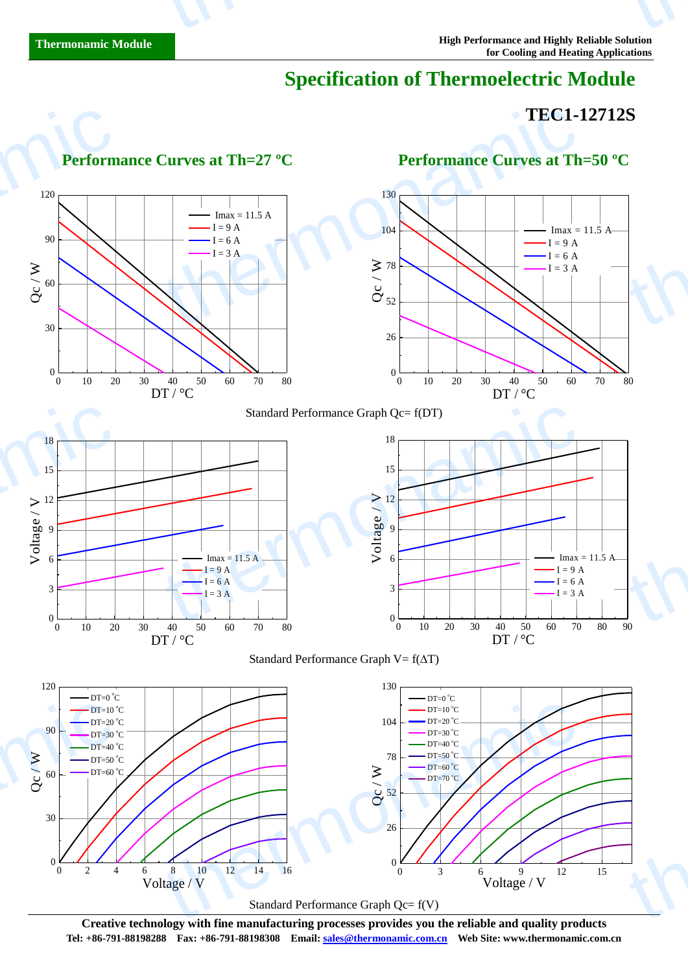# **Specification of Thermoelectric Module**

## **TEC1-12712S**



**Creative technology with fine manufacturing processes provides you the reliable and quality products Tel: +86-791-88198288 Fax: +86-791-88198308 Email: sales@thermonamic.com.cn Web Site: www.thermonamic.com.cn**